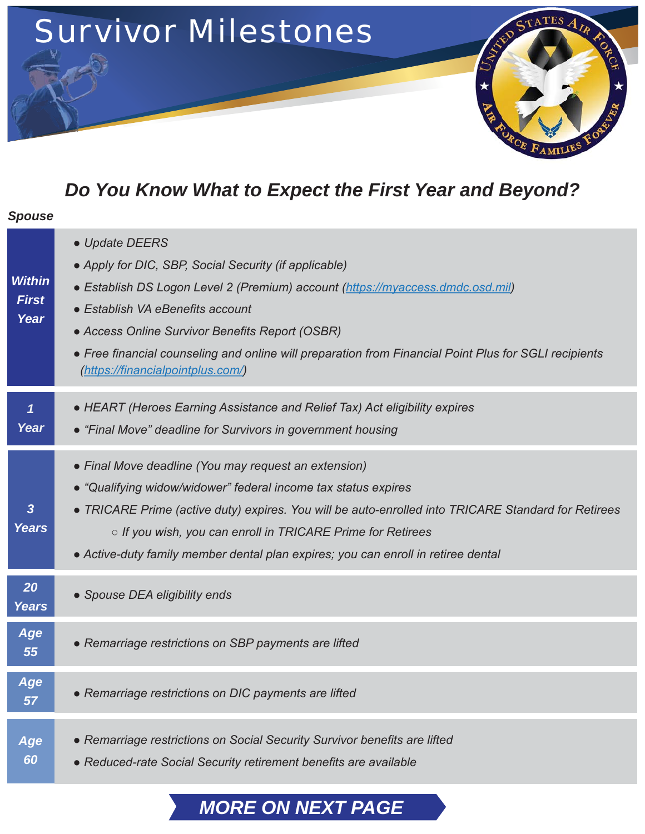

# *Do You Know What to Expect the First Year and Beyond?*

| <b>Spouse</b>                         |                                                                                                                                                                                                                                                                                                                                                                                                |
|---------------------------------------|------------------------------------------------------------------------------------------------------------------------------------------------------------------------------------------------------------------------------------------------------------------------------------------------------------------------------------------------------------------------------------------------|
| <b>Within</b><br><b>First</b><br>Year | • Update DEERS<br>• Apply for DIC, SBP, Social Security (if applicable)<br>• Establish DS Logon Level 2 (Premium) account (https://myaccess.dmdc.osd.mil)<br>• Establish VA eBenefits account<br>• Access Online Survivor Benefits Report (OSBR)<br>• Free financial counseling and online will preparation from Financial Point Plus for SGLI recipients<br>(https://financialpointplus.com/) |
| Year                                  | • HEART (Heroes Earning Assistance and Relief Tax) Act eligibility expires<br>• "Final Move" deadline for Survivors in government housing                                                                                                                                                                                                                                                      |
| 3<br><b>Years</b>                     | • Final Move deadline (You may request an extension)<br>• "Qualifying widow/widower" federal income tax status expires<br>• TRICARE Prime (active duty) expires. You will be auto-enrolled into TRICARE Standard for Retirees<br>○ If you wish, you can enroll in TRICARE Prime for Retirees<br>• Active-duty family member dental plan expires; you can enroll in retiree dental              |
| 20<br><b>Years</b>                    | • Spouse DEA eligibility ends                                                                                                                                                                                                                                                                                                                                                                  |
| Age<br>55                             | • Remarriage restrictions on SBP payments are lifted                                                                                                                                                                                                                                                                                                                                           |
| Age<br>57                             | • Remarriage restrictions on DIC payments are lifted                                                                                                                                                                                                                                                                                                                                           |
| Age<br>60                             | • Remarriage restrictions on Social Security Survivor benefits are lifted<br>• Reduced-rate Social Security retirement benefits are available                                                                                                                                                                                                                                                  |

# *MORE ON NEXT PAGE*